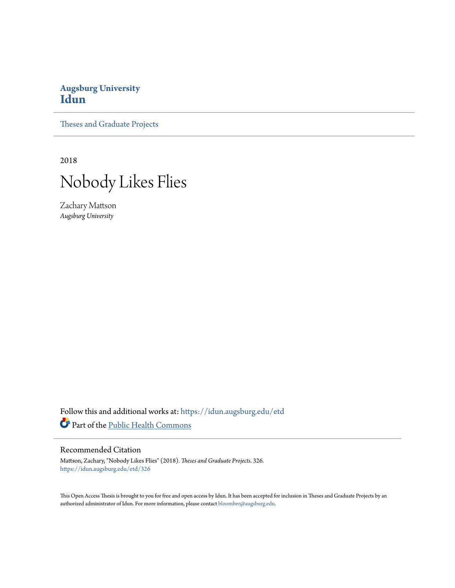# **Augsburg University [Idun](https://idun.augsburg.edu?utm_source=idun.augsburg.edu%2Fetd%2F326&utm_medium=PDF&utm_campaign=PDFCoverPages)**

[Theses and Graduate Projects](https://idun.augsburg.edu/etd?utm_source=idun.augsburg.edu%2Fetd%2F326&utm_medium=PDF&utm_campaign=PDFCoverPages)

2018



Zachary Mattson *Augsburg University*

Follow this and additional works at: [https://idun.augsburg.edu/etd](https://idun.augsburg.edu/etd?utm_source=idun.augsburg.edu%2Fetd%2F326&utm_medium=PDF&utm_campaign=PDFCoverPages) Part of the [Public Health Commons](http://network.bepress.com/hgg/discipline/738?utm_source=idun.augsburg.edu%2Fetd%2F326&utm_medium=PDF&utm_campaign=PDFCoverPages)

### Recommended Citation

Mattson, Zachary, "Nobody Likes Flies" (2018). *Theses and Graduate Projects*. 326. [https://idun.augsburg.edu/etd/326](https://idun.augsburg.edu/etd/326?utm_source=idun.augsburg.edu%2Fetd%2F326&utm_medium=PDF&utm_campaign=PDFCoverPages)

This Open Access Thesis is brought to you for free and open access by Idun. It has been accepted for inclusion in Theses and Graduate Projects by an authorized administrator of Idun. For more information, please contact [bloomber@augsburg.edu.](mailto:bloomber@augsburg.edu)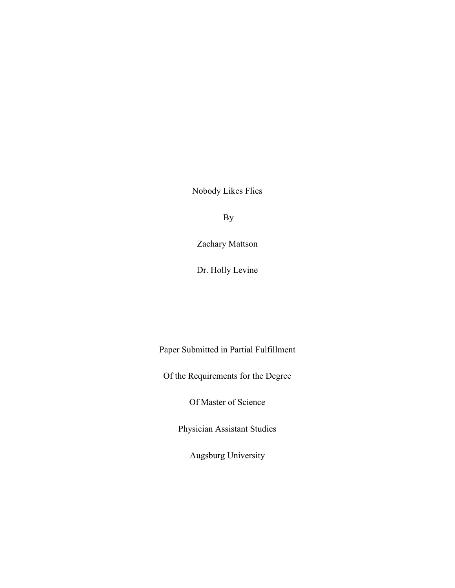Nobody Likes Flies

By

Zachary Mattson

Dr. Holly Levine

Paper Submitted in Partial Fulfillment

Of the Requirements for the Degree

Of Master of Science

Physician Assistant Studies

Augsburg University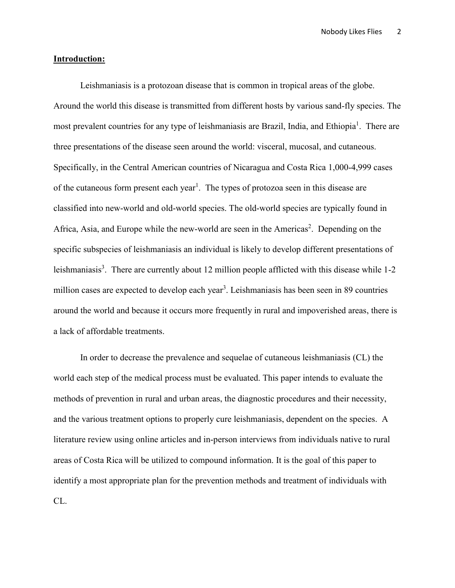Nobody Likes Flies 2

# **Introduction:**

Leishmaniasis is a protozoan disease that is common in tropical areas of the globe. Around the world this disease is transmitted from different hosts by various sand-fly species. The most prevalent countries for any type of leishmaniasis are Brazil, India, and Ethiopia<sup>1</sup>. There are three presentations of the disease seen around the world: visceral, mucosal, and cutaneous. Specifically, in the Central American countries of Nicaragua and Costa Rica 1,000-4,999 cases of the cutaneous form present each year<sup>1</sup>. The types of protozoa seen in this disease are classified into new-world and old-world species. The old-world species are typically found in Africa, Asia, and Europe while the new-world are seen in the Americas<sup>2</sup>. Depending on the specific subspecies of leishmaniasis an individual is likely to develop different presentations of leishmaniasis<sup>3</sup>. There are currently about 12 million people afflicted with this disease while 1-2 million cases are expected to develop each year<sup>3</sup>. Leishmaniasis has been seen in 89 countries around the world and because it occurs more frequently in rural and impoverished areas, there is a lack of affordable treatments.

In order to decrease the prevalence and sequelae of cutaneous leishmaniasis (CL) the world each step of the medical process must be evaluated. This paper intends to evaluate the methods of prevention in rural and urban areas, the diagnostic procedures and their necessity, and the various treatment options to properly cure leishmaniasis, dependent on the species. A literature review using online articles and in-person interviews from individuals native to rural areas of Costa Rica will be utilized to compound information. It is the goal of this paper to identify a most appropriate plan for the prevention methods and treatment of individuals with CL.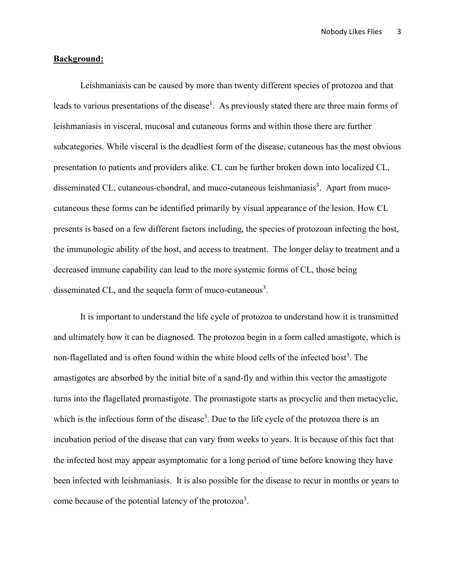## **Background:**

Leishmaniasis can be caused by more than twenty different species of protozoa and that leads to various presentations of the disease<sup>1</sup>. As previously stated there are three main forms of leishmaniasis in visceral, mucosal and cutaneous forms and within those there are further subcategories. While visceral is the deadliest form of the disease, cutaneous has the most obvious presentation to patients and providers alike. CL can be further broken down into localized CL, disseminated CL, cutaneous-chondral, and muco-cutaneous leishmaniasis<sup>3</sup>. Apart from mucocutaneous these forms can be identified primarily by visual appearance of the lesion. How CL presents is based on a few different factors including, the species of protozoan infecting the host, the immunologic ability of the host, and access to treatment. The longer delay to treatment and a decreased immune capability can lead to the more systemic forms of CL, those being disseminated CL, and the sequela form of muco-cutaneous<sup>3</sup>.

It is important to understand the life cycle of protozoa to understand how it is transmitted and ultimately how it can be diagnosed. The protozoa begin in a form called amastigote, which is non-flagellated and is often found within the white blood cells of the infected host<sup>3</sup>. The amastigotes are absorbed by the initial bite of a sand-fly and within this vector the amastigote turns into the flagellated promastigote. The promastigote starts as procyclic and then metacyclic, which is the infectious form of the disease<sup>3</sup>. Due to the life cycle of the protozoa there is an incubation period of the disease that can vary from weeks to years. It is because of this fact that the infected host may appear asymptomatic for a long period of time before knowing they have been infected with leishmaniasis. It is also possible for the disease to recur in months or years to come because of the potential latency of the protozoa<sup>3</sup>.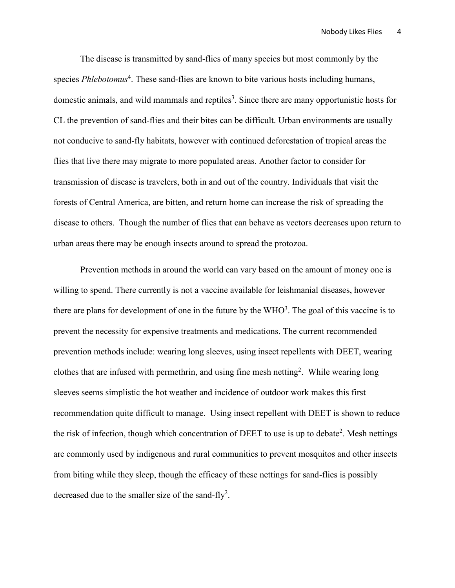The disease is transmitted by sand-flies of many species but most commonly by the species *Phlebotomus*<sup>4</sup>. These sand-flies are known to bite various hosts including humans, domestic animals, and wild mammals and reptiles<sup>3</sup>. Since there are many opportunistic hosts for CL the prevention of sand-flies and their bites can be difficult. Urban environments are usually not conducive to sand-fly habitats, however with continued deforestation of tropical areas the flies that live there may migrate to more populated areas. Another factor to consider for transmission of disease is travelers, both in and out of the country. Individuals that visit the forests of Central America, are bitten, and return home can increase the risk of spreading the disease to others. Though the number of flies that can behave as vectors decreases upon return to urban areas there may be enough insects around to spread the protozoa.

Prevention methods in around the world can vary based on the amount of money one is willing to spend. There currently is not a vaccine available for leishmanial diseases, however there are plans for development of one in the future by the  $WHO<sup>3</sup>$ . The goal of this vaccine is to prevent the necessity for expensive treatments and medications. The current recommended prevention methods include: wearing long sleeves, using insect repellents with DEET, wearing clothes that are infused with permethrin, and using fine mesh netting<sup>2</sup>. While wearing long sleeves seems simplistic the hot weather and incidence of outdoor work makes this first recommendation quite difficult to manage. Using insect repellent with DEET is shown to reduce the risk of infection, though which concentration of DEET to use is up to debate<sup>2</sup>. Mesh nettings are commonly used by indigenous and rural communities to prevent mosquitos and other insects from biting while they sleep, though the efficacy of these nettings for sand-flies is possibly decreased due to the smaller size of the sand-fly<sup>2</sup>.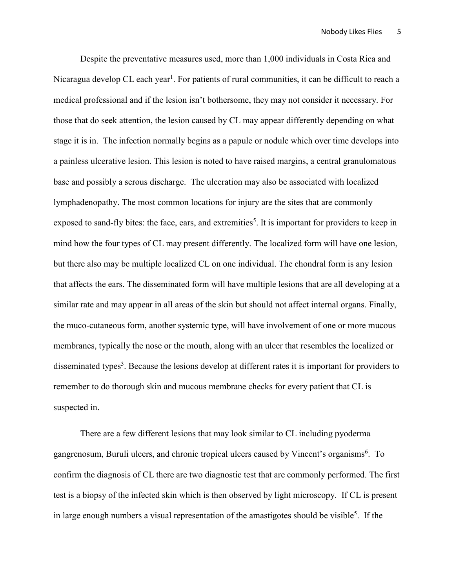Despite the preventative measures used, more than 1,000 individuals in Costa Rica and Nicaragua develop CL each year<sup>1</sup>. For patients of rural communities, it can be difficult to reach a medical professional and if the lesion isn't bothersome, they may not consider it necessary. For those that do seek attention, the lesion caused by CL may appear differently depending on what stage it is in. The infection normally begins as a papule or nodule which over time develops into a painless ulcerative lesion. This lesion is noted to have raised margins, a central granulomatous base and possibly a serous discharge. The ulceration may also be associated with localized lymphadenopathy. The most common locations for injury are the sites that are commonly exposed to sand-fly bites: the face, ears, and extremities<sup>5</sup>. It is important for providers to keep in mind how the four types of CL may present differently. The localized form will have one lesion, but there also may be multiple localized CL on one individual. The chondral form is any lesion that affects the ears. The disseminated form will have multiple lesions that are all developing at a similar rate and may appear in all areas of the skin but should not affect internal organs. Finally, the muco-cutaneous form, another systemic type, will have involvement of one or more mucous membranes, typically the nose or the mouth, along with an ulcer that resembles the localized or disseminated types<sup>3</sup>. Because the lesions develop at different rates it is important for providers to remember to do thorough skin and mucous membrane checks for every patient that CL is suspected in.

There are a few different lesions that may look similar to CL including pyoderma gangrenosum, Buruli ulcers, and chronic tropical ulcers caused by Vincent's organisms<sup>6</sup>. To confirm the diagnosis of CL there are two diagnostic test that are commonly performed. The first test is a biopsy of the infected skin which is then observed by light microscopy. If CL is present in large enough numbers a visual representation of the amastigotes should be visible<sup>5</sup>. If the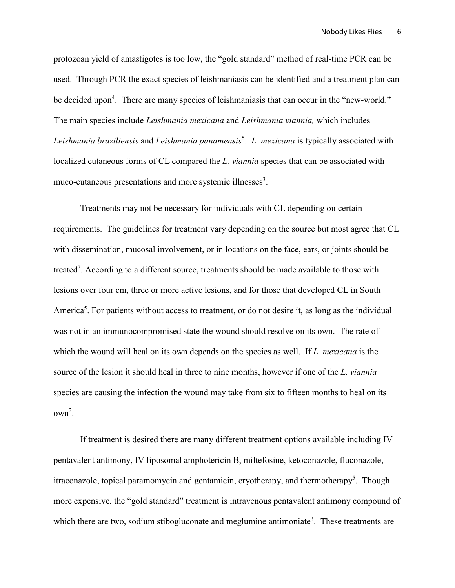protozoan yield of amastigotes is too low, the "gold standard" method of real-time PCR can be used. Through PCR the exact species of leishmaniasis can be identified and a treatment plan can be decided upon<sup>4</sup>. There are many species of leishmaniasis that can occur in the "new-world." The main species include *Leishmania mexicana* and *Leishmania viannia,* which includes *Leishmania braziliensis* and *Leishmania panamensis*<sup>5</sup> . *L. mexicana* is typically associated with localized cutaneous forms of CL compared the *L. viannia* species that can be associated with muco-cutaneous presentations and more systemic illnesses<sup>3</sup>.

Treatments may not be necessary for individuals with CL depending on certain requirements. The guidelines for treatment vary depending on the source but most agree that CL with dissemination, mucosal involvement, or in locations on the face, ears, or joints should be treated<sup>7</sup>. According to a different source, treatments should be made available to those with lesions over four cm, three or more active lesions, and for those that developed CL in South America<sup>5</sup>. For patients without access to treatment, or do not desire it, as long as the individual was not in an immunocompromised state the wound should resolve on its own. The rate of which the wound will heal on its own depends on the species as well. If *L. mexicana* is the source of the lesion it should heal in three to nine months, however if one of the *L. viannia*  species are causing the infection the wound may take from six to fifteen months to heal on its own2 .

If treatment is desired there are many different treatment options available including IV pentavalent antimony, IV liposomal amphotericin B, miltefosine, ketoconazole, fluconazole, itraconazole, topical paramomycin and gentamicin, cryotherapy, and thermotherapy<sup>5</sup>. Though more expensive, the "gold standard" treatment is intravenous pentavalent antimony compound of which there are two, sodium stibogluconate and meglumine antimoniate<sup>3</sup>. These treatments are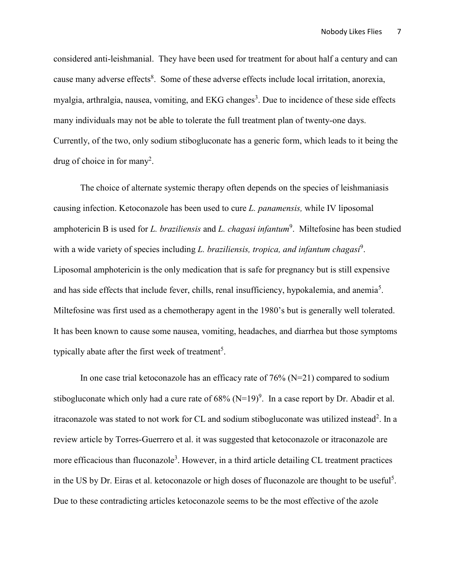considered anti-leishmanial. They have been used for treatment for about half a century and can cause many adverse effects<sup>8</sup>. Some of these adverse effects include local irritation, anorexia, myalgia, arthralgia, nausea, vomiting, and EKG changes<sup>3</sup>. Due to incidence of these side effects many individuals may not be able to tolerate the full treatment plan of twenty-one days. Currently, of the two, only sodium stibogluconate has a generic form, which leads to it being the drug of choice in for many<sup>2</sup>.

The choice of alternate systemic therapy often depends on the species of leishmaniasis causing infection. Ketoconazole has been used to cure *L. panamensis,* while IV liposomal amphotericin B is used for *L. braziliensis* and *L. chagasi infantum*<sup>9</sup>. Miltefosine has been studied with a wide variety of species including *L. braziliensis, tropica, and infantum chagasi*<sup>9</sup>. Liposomal amphotericin is the only medication that is safe for pregnancy but is still expensive and has side effects that include fever, chills, renal insufficiency, hypokalemia, and anemia<sup>5</sup>. Miltefosine was first used as a chemotherapy agent in the 1980's but is generally well tolerated. It has been known to cause some nausea, vomiting, headaches, and diarrhea but those symptoms typically abate after the first week of treatment<sup>5</sup>.

In one case trial ketoconazole has an efficacy rate of  $76\%$  (N=21) compared to sodium stibogluconate which only had a cure rate of  $68\%$  (N=19)<sup>9</sup>. In a case report by Dr. Abadir et al. itraconazole was stated to not work for CL and sodium stibogluconate was utilized instead<sup>2</sup>. In a review article by Torres-Guerrero et al. it was suggested that ketoconazole or itraconazole are more efficacious than fluconazole<sup>3</sup>. However, in a third article detailing CL treatment practices in the US by Dr. Eiras et al. ketoconazole or high doses of fluconazole are thought to be useful<sup>5</sup>. Due to these contradicting articles ketoconazole seems to be the most effective of the azole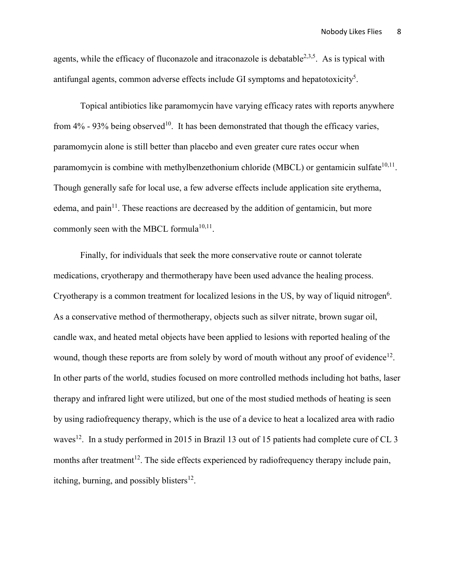agents, while the efficacy of fluconazole and itraconazole is debatable<sup>2,3,5</sup>. As is typical with antifungal agents, common adverse effects include GI symptoms and hepatotoxicity<sup>5</sup>.

Topical antibiotics like paramomycin have varying efficacy rates with reports anywhere from  $4\%$  - 93% being observed<sup>10</sup>. It has been demonstrated that though the efficacy varies, paramomycin alone is still better than placebo and even greater cure rates occur when paramomycin is combine with methylbenzethonium chloride (MBCL) or gentamicin sulfate $10,11$ . Though generally safe for local use, a few adverse effects include application site erythema, edema, and pain<sup>11</sup>. These reactions are decreased by the addition of gentamicin, but more commonly seen with the MBCL formula $10,11$ .

Finally, for individuals that seek the more conservative route or cannot tolerate medications, cryotherapy and thermotherapy have been used advance the healing process. Cryotherapy is a common treatment for localized lesions in the US, by way of liquid nitrogen $6$ . As a conservative method of thermotherapy, objects such as silver nitrate, brown sugar oil, candle wax, and heated metal objects have been applied to lesions with reported healing of the wound, though these reports are from solely by word of mouth without any proof of evidence<sup>12</sup>. In other parts of the world, studies focused on more controlled methods including hot baths, laser therapy and infrared light were utilized, but one of the most studied methods of heating is seen by using radiofrequency therapy, which is the use of a device to heat a localized area with radio waves<sup>12</sup>. In a study performed in 2015 in Brazil 13 out of 15 patients had complete cure of CL 3 months after treatment<sup>12</sup>. The side effects experienced by radiofrequency therapy include pain, itching, burning, and possibly blisters<sup>12</sup>.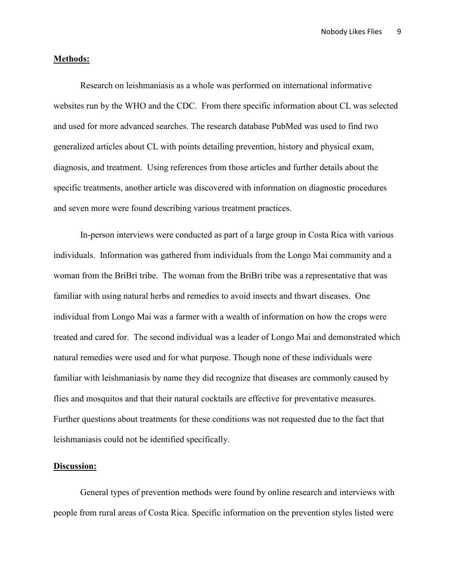#### **Methods:**

Research on leishmaniasis as a whole was performed on international informative websites run by the WHO and the CDC. From there specific information about CL was selected and used for more advanced searches. The research database PubMed was used to find two generalized articles about CL with points detailing prevention, history and physical exam, diagnosis, and treatment. Using references from those articles and further details about the specific treatments, another article was discovered with information on diagnostic procedures and seven more were found describing various treatment practices.

In-person interviews were conducted as part of a large group in Costa Rica with various individuals. Information was gathered from individuals from the Longo Mai community and a woman from the BriBri tribe. The woman from the BriBri tribe was a representative that was familiar with using natural herbs and remedies to avoid insects and thwart diseases. One individual from Longo Mai was a farmer with a wealth of information on how the crops were treated and cared for. The second individual was a leader of Longo Mai and demonstrated which natural remedies were used and for what purpose. Though none of these individuals were familiar with leishmaniasis by name they did recognize that diseases are commonly caused by flies and mosquitos and that their natural cocktails are effective for preventative measures. Further questions about treatments for these conditions was not requested due to the fact that leishmaniasis could not be identified specifically.

# **Discussion:**

General types of prevention methods were found by online research and interviews with people from rural areas of Costa Rica. Specific information on the prevention styles listed were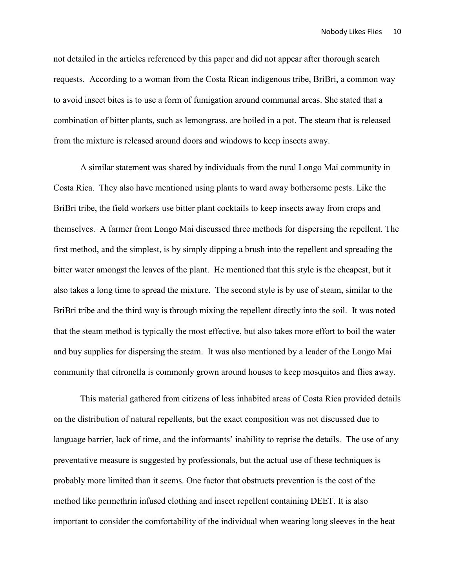not detailed in the articles referenced by this paper and did not appear after thorough search requests. According to a woman from the Costa Rican indigenous tribe, BriBri, a common way to avoid insect bites is to use a form of fumigation around communal areas. She stated that a combination of bitter plants, such as lemongrass, are boiled in a pot. The steam that is released from the mixture is released around doors and windows to keep insects away.

A similar statement was shared by individuals from the rural Longo Mai community in Costa Rica. They also have mentioned using plants to ward away bothersome pests. Like the BriBri tribe, the field workers use bitter plant cocktails to keep insects away from crops and themselves. A farmer from Longo Mai discussed three methods for dispersing the repellent. The first method, and the simplest, is by simply dipping a brush into the repellent and spreading the bitter water amongst the leaves of the plant. He mentioned that this style is the cheapest, but it also takes a long time to spread the mixture. The second style is by use of steam, similar to the BriBri tribe and the third way is through mixing the repellent directly into the soil. It was noted that the steam method is typically the most effective, but also takes more effort to boil the water and buy supplies for dispersing the steam. It was also mentioned by a leader of the Longo Mai community that citronella is commonly grown around houses to keep mosquitos and flies away.

This material gathered from citizens of less inhabited areas of Costa Rica provided details on the distribution of natural repellents, but the exact composition was not discussed due to language barrier, lack of time, and the informants' inability to reprise the details. The use of any preventative measure is suggested by professionals, but the actual use of these techniques is probably more limited than it seems. One factor that obstructs prevention is the cost of the method like permethrin infused clothing and insect repellent containing DEET. It is also important to consider the comfortability of the individual when wearing long sleeves in the heat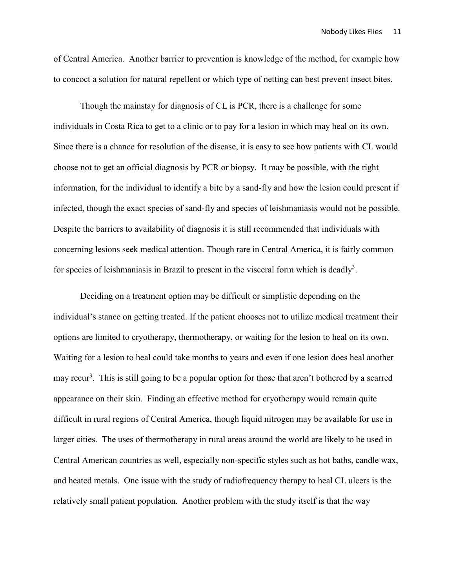of Central America. Another barrier to prevention is knowledge of the method, for example how to concoct a solution for natural repellent or which type of netting can best prevent insect bites.

Though the mainstay for diagnosis of CL is PCR, there is a challenge for some individuals in Costa Rica to get to a clinic or to pay for a lesion in which may heal on its own. Since there is a chance for resolution of the disease, it is easy to see how patients with CL would choose not to get an official diagnosis by PCR or biopsy. It may be possible, with the right information, for the individual to identify a bite by a sand-fly and how the lesion could present if infected, though the exact species of sand-fly and species of leishmaniasis would not be possible. Despite the barriers to availability of diagnosis it is still recommended that individuals with concerning lesions seek medical attention. Though rare in Central America, it is fairly common for species of leishmaniasis in Brazil to present in the visceral form which is deadly<sup>3</sup>.

Deciding on a treatment option may be difficult or simplistic depending on the individual's stance on getting treated. If the patient chooses not to utilize medical treatment their options are limited to cryotherapy, thermotherapy, or waiting for the lesion to heal on its own. Waiting for a lesion to heal could take months to years and even if one lesion does heal another may recur<sup>3</sup>. This is still going to be a popular option for those that aren't bothered by a scarred appearance on their skin. Finding an effective method for cryotherapy would remain quite difficult in rural regions of Central America, though liquid nitrogen may be available for use in larger cities. The uses of thermotherapy in rural areas around the world are likely to be used in Central American countries as well, especially non-specific styles such as hot baths, candle wax, and heated metals. One issue with the study of radiofrequency therapy to heal CL ulcers is the relatively small patient population. Another problem with the study itself is that the way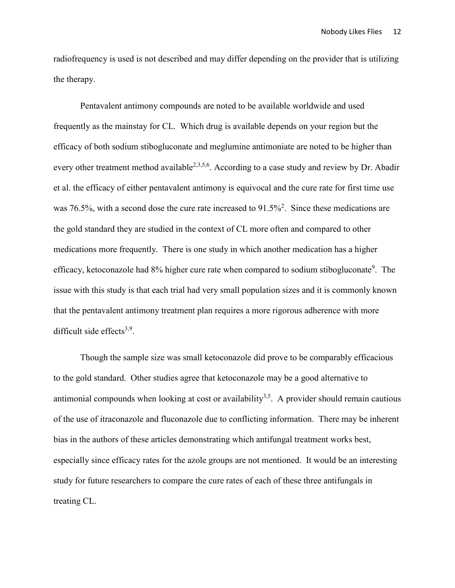radiofrequency is used is not described and may differ depending on the provider that is utilizing the therapy.

Pentavalent antimony compounds are noted to be available worldwide and used frequently as the mainstay for CL. Which drug is available depends on your region but the efficacy of both sodium stibogluconate and meglumine antimoniate are noted to be higher than every other treatment method available<sup>2,3,5,6</sup>. According to a case study and review by Dr. Abadir et al. the efficacy of either pentavalent antimony is equivocal and the cure rate for first time use was 76.5%, with a second dose the cure rate increased to  $91.5\%$ <sup>2</sup>. Since these medications are the gold standard they are studied in the context of CL more often and compared to other medications more frequently. There is one study in which another medication has a higher efficacy, ketoconazole had 8% higher cure rate when compared to sodium stibogluconate<sup>9</sup>. The issue with this study is that each trial had very small population sizes and it is commonly known that the pentavalent antimony treatment plan requires a more rigorous adherence with more difficult side effects $3,9$ .

Though the sample size was small ketoconazole did prove to be comparably efficacious to the gold standard. Other studies agree that ketoconazole may be a good alternative to antimonial compounds when looking at cost or availability<sup>3,5</sup>. A provider should remain cautious of the use of itraconazole and fluconazole due to conflicting information. There may be inherent bias in the authors of these articles demonstrating which antifungal treatment works best, especially since efficacy rates for the azole groups are not mentioned. It would be an interesting study for future researchers to compare the cure rates of each of these three antifungals in treating CL.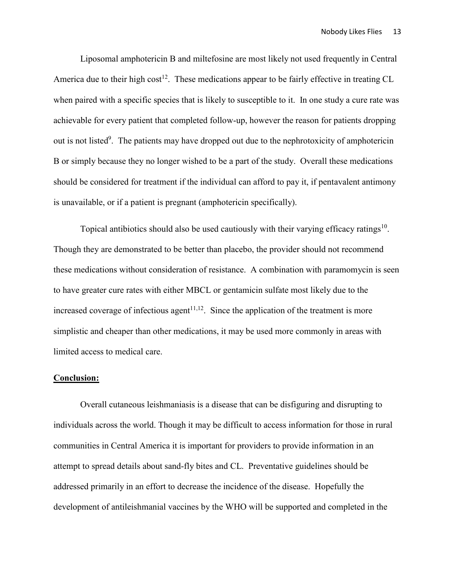Liposomal amphotericin B and miltefosine are most likely not used frequently in Central America due to their high  $cost^{12}$ . These medications appear to be fairly effective in treating CL when paired with a specific species that is likely to susceptible to it. In one study a cure rate was achievable for every patient that completed follow-up, however the reason for patients dropping out is not listed<sup>9</sup>. The patients may have dropped out due to the nephrotoxicity of amphotericin B or simply because they no longer wished to be a part of the study. Overall these medications should be considered for treatment if the individual can afford to pay it, if pentavalent antimony is unavailable, or if a patient is pregnant (amphotericin specifically).

Topical antibiotics should also be used cautiously with their varying efficacy ratings $10$ . Though they are demonstrated to be better than placebo, the provider should not recommend these medications without consideration of resistance. A combination with paramomycin is seen to have greater cure rates with either MBCL or gentamicin sulfate most likely due to the increased coverage of infectious agent<sup> $11,12$ </sup>. Since the application of the treatment is more simplistic and cheaper than other medications, it may be used more commonly in areas with limited access to medical care.

#### **Conclusion:**

Overall cutaneous leishmaniasis is a disease that can be disfiguring and disrupting to individuals across the world. Though it may be difficult to access information for those in rural communities in Central America it is important for providers to provide information in an attempt to spread details about sand-fly bites and CL. Preventative guidelines should be addressed primarily in an effort to decrease the incidence of the disease. Hopefully the development of antileishmanial vaccines by the WHO will be supported and completed in the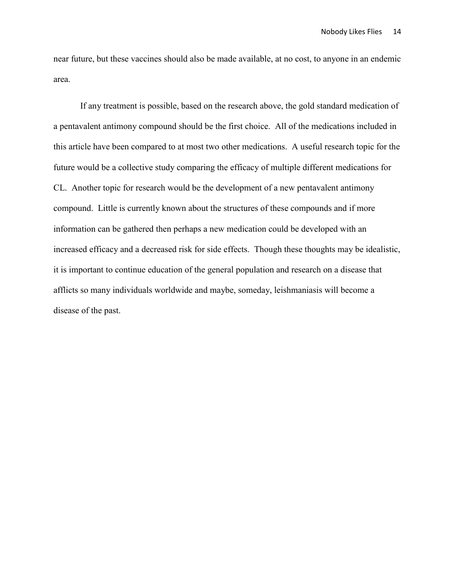near future, but these vaccines should also be made available, at no cost, to anyone in an endemic area.

If any treatment is possible, based on the research above, the gold standard medication of a pentavalent antimony compound should be the first choice. All of the medications included in this article have been compared to at most two other medications. A useful research topic for the future would be a collective study comparing the efficacy of multiple different medications for CL. Another topic for research would be the development of a new pentavalent antimony compound. Little is currently known about the structures of these compounds and if more information can be gathered then perhaps a new medication could be developed with an increased efficacy and a decreased risk for side effects. Though these thoughts may be idealistic, it is important to continue education of the general population and research on a disease that afflicts so many individuals worldwide and maybe, someday, leishmaniasis will become a disease of the past.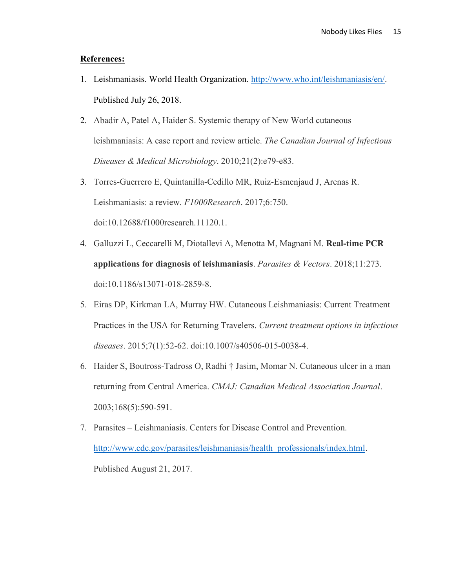# **References:**

- 1. Leishmaniasis. World Health Organization. [http://www.who.int/leishmaniasis/en/.](http://www.who.int/leishmaniasis/en/) Published July 26, 2018.
- 2. Abadir A, Patel A, Haider S. Systemic therapy of New World cutaneous leishmaniasis: A case report and review article. *The Canadian Journal of Infectious Diseases & Medical Microbiology*. 2010;21(2):e79-e83.
- 3. Torres-Guerrero E, Quintanilla-Cedillo MR, Ruiz-Esmenjaud J, Arenas R. Leishmaniasis: a review. *F1000Research*. 2017;6:750. doi:10.12688/f1000research.11120.1.
- 4. Galluzzi L, Ceccarelli M, Diotallevi A, Menotta M, Magnani M. **Real-time PCR applications for diagnosis of leishmaniasis**. *Parasites & Vectors*. 2018;11:273. doi:10.1186/s13071-018-2859-8.
- 5. Eiras DP, Kirkman LA, Murray HW. Cutaneous Leishmaniasis: Current Treatment Practices in the USA for Returning Travelers. *Current treatment options in infectious diseases*. 2015;7(1):52-62. doi:10.1007/s40506-015-0038-4.
- 6. Haider S, Boutross-Tadross O, Radhi † Jasim, Momar N. Cutaneous ulcer in a man returning from Central America. *CMAJ: Canadian Medical Association Journal*. 2003;168(5):590-591.
- 7. Parasites Leishmaniasis. Centers for Disease Control and Prevention. [http://www.cdc.gov/parasites/leishmaniasis/health\\_professionals/index.html.](http://www.cdc.gov/parasites/leishmaniasis/health_professionals/index.html) Published August 21, 2017.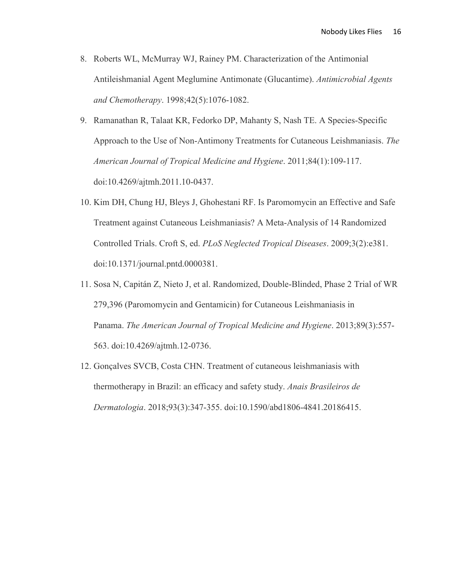- 8. Roberts WL, McMurray WJ, Rainey PM. Characterization of the Antimonial Antileishmanial Agent Meglumine Antimonate (Glucantime). *Antimicrobial Agents and Chemotherapy*. 1998;42(5):1076-1082.
- 9. Ramanathan R, Talaat KR, Fedorko DP, Mahanty S, Nash TE. A Species-Specific Approach to the Use of Non-Antimony Treatments for Cutaneous Leishmaniasis. *The American Journal of Tropical Medicine and Hygiene*. 2011;84(1):109-117. doi:10.4269/ajtmh.2011.10-0437.
- 10. Kim DH, Chung HJ, Bleys J, Ghohestani RF. Is Paromomycin an Effective and Safe Treatment against Cutaneous Leishmaniasis? A Meta-Analysis of 14 Randomized Controlled Trials. Croft S, ed. *PLoS Neglected Tropical Diseases*. 2009;3(2):e381. doi:10.1371/journal.pntd.0000381.
- 11. Sosa N, Capitán Z, Nieto J, et al. Randomized, Double-Blinded, Phase 2 Trial of WR 279,396 (Paromomycin and Gentamicin) for Cutaneous Leishmaniasis in Panama. *The American Journal of Tropical Medicine and Hygiene*. 2013;89(3):557- 563. doi:10.4269/ajtmh.12-0736.
- 12. Gonçalves SVCB, Costa CHN. Treatment of cutaneous leishmaniasis with thermotherapy in Brazil: an efficacy and safety study. *Anais Brasileiros de Dermatologia*. 2018;93(3):347-355. doi:10.1590/abd1806-4841.20186415.